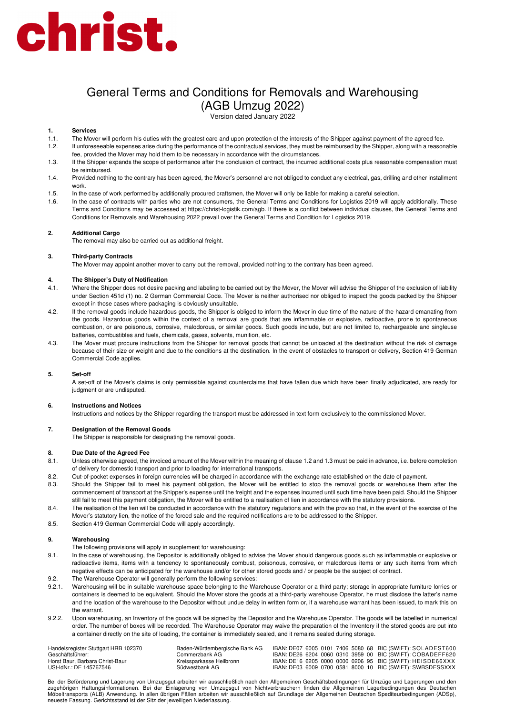# christ.

# General Terms and Conditions for Removals and Warehousing (AGB Umzug 2022)

Version dated January 2022

# **1. Services**

- 1.1. The Mover will perform his duties with the greatest care and upon protection of the interests of the Shipper against payment of the agreed fee.
- 1.2. If unforeseeable expenses arise during the performance of the contractual services, they must be reimbursed by the Shipper, along with a reasonable fee, provided the Mover may hold them to be necessary in accordance with the circumstances.
- 1.3. If the Shipper expands the scope of performance after the conclusion of contract, the incurred additional costs plus reasonable compensation must be reimbursed.
- 1.4. Provided nothing to the contrary has been agreed, the Mover's personnel are not obliged to conduct any electrical, gas, drilling and other installment work.
- 1.5. In the case of work performed by additionally procured craftsmen, the Mover will only be liable for making a careful selection.
- 1.6. In the case of contracts with parties who are not consumers, the General Terms and Conditions for Logistics 2019 will apply additionally. These Terms and Conditions may be accessed at https://christ-logistik.com/agb. If there is a conflict between individual clauses, the General Terms and Conditions for Removals and Warehousing 2022 prevail over the General Terms and Condition for Logistics 2019.

## **2. Additional Cargo**

The removal may also be carried out as additional freight.

# **3. Third-party Contracts**

The Mover may appoint another mover to carry out the removal, provided nothing to the contrary has been agreed.

## **4. The Shipper's Duty of Notification**

- 4.1. Where the Shipper does not desire packing and labeling to be carried out by the Mover, the Mover will advise the Shipper of the exclusion of liability under Section 451d (1) no. 2 German Commercial Code. The Mover is neither authorised nor obliged to inspect the goods packed by the Shipper except in those cases where packaging is obviously unsuitable.
- 4.2. If the removal goods include hazardous goods, the Shipper is obliged to inform the Mover in due time of the nature of the hazard emanating from the goods. Hazardous goods within the context of a removal are goods that are inflammable or explosive, radioactive, prone to spontaneous combustion, or are poisonous, corrosive, malodorous, or similar goods. Such goods include, but are not limited to, rechargeable and singleuse batteries, combustibles and fuels, chemicals, gases, solvents, munition, etc.
- 4.3. The Mover must procure instructions from the Shipper for removal goods that cannot be unloaded at the destination without the risk of damage because of their size or weight and due to the conditions at the destination. In the event of obstacles to transport or delivery, Section 419 German Commercial Code applies.

## **5. Set-off**

A set-off of the Mover's claims is only permissible against counterclaims that have fallen due which have been finally adjudicated, are ready for judgment or are undisputed.

## **6. Instructions and Notices**

Instructions and notices by the Shipper regarding the transport must be addressed in text form exclusively to the commissioned Mover.

## **7. Designation of the Removal Goods**

The Shipper is responsible for designating the removal goods.

# **8. Due Date of the Agreed Fee**

- 8.1. Unless otherwise agreed, the invoiced amount of the Mover within the meaning of clause 1.2 and 1.3 must be paid in advance, i.e. before completion of delivery for domestic transport and prior to loading for international transports.
- 8.2. Out-of-pocket expenses in foreign currencies will be charged in accordance with the exchange rate established on the date of payment.
- 8.3. Should the Shipper fail to meet his payment obligation, the Mover will be entitled to stop the removal goods or warehouse them after the commencement of transport at the Shipper's expense until the freight and the expenses incurred until such time have been paid. Should the Shipper still fail to meet this payment obligation, the Mover will be entitled to a realisation of lien in accordance with the statutory provisions.
- 8.4. The realisation of the lien will be conducted in accordance with the statutory regulations and with the proviso that, in the event of the exercise of the Mover's statutory lien, the notice of the forced sale and the required notifications are to be addressed to the Shipper.
- 8.5. Section 419 German Commercial Code will apply accordingly.

## **9. Warehousing**

- The following provisions will apply in supplement for warehousing:
- 9.1. In the case of warehousing, the Depositor is additionally obliged to advise the Mover should dangerous goods such as inflammable or explosive or radioactive items, items with a tendency to spontaneously combust, poisonous, corrosive, or malodorous items or any such items from which negative effects can be anticipated for the warehouse and/or for other stored goods and / or people be the subject of contract.
- 9.2. The Warehouse Operator will generally perform the following services:
- 9.2.1. Warehousing will be in suitable warehouse space belonging to the Warehouse Operator or a third party; storage in appropriate furniture lorries or containers is deemed to be equivalent. Should the Mover store the goods at a third-party warehouse Operator, he must disclose the latter's name and the location of the warehouse to the Depositor without undue delay in written form or, if a warehouse warrant has been issued, to mark this on the warrant.
- 9.2.2. Upon warehousing, an Inventory of the goods will be signed by the Depositor and the Warehouse Operator. The goods will be labelled in numerical order. The number of boxes will be recorded. The Warehouse Operator may waive the preparation of the Inventory if the stored goods are put into a container directly on the site of loading, the container is immediately sealed, and it remains sealed during storage.

| Handelsregister Stuttgart HRB 102370 | Baden-Württembergische Bank AG |  |  |  | IBAN: DE07 6005 0101 7406 5080 68 BIC (SWIFT): SOLADEST600 |
|--------------------------------------|--------------------------------|--|--|--|------------------------------------------------------------|
| Geschäftsführer:                     | Commerzbank AG.                |  |  |  | IBAN: DE26 6204 0060 0310 3959 00 BIC (SWIFT): COBADEFF620 |
| Horst Baur, Barbara Christ-Baur      | Kreissparkasse Heilbronn       |  |  |  | IBAN: DE16 6205 0000 0000 0206 95 BIC (SWIFT): HEISDE66XXX |
| USt-IdNr.: DE 145767546              | Südwestbank AG                 |  |  |  | IBAN: DE03 6009 0700 0581 8000 10 BIC (SWIFT): SWBSDESSXXX |

Bei der Beförderung und Lagerung von Umzugsgut arbeiten wir ausschließlich nach den Allgemeinen Geschäftsbedingungen für Umzüge und Lagerungen und den zugehörigen Haftungsinformationen. Bei der Einlagerung von Umzugsgut von Nichtverbrauchern finden die Allgemeinen Lagerbedingungen des Deutschen<br>Möbeltransports (ALB) Anwendung. In allen übrigen Fällen arbeiten wir ausschl neueste Fassung. Gerichtsstand ist der Sitz der jeweiligen Niederlassung.